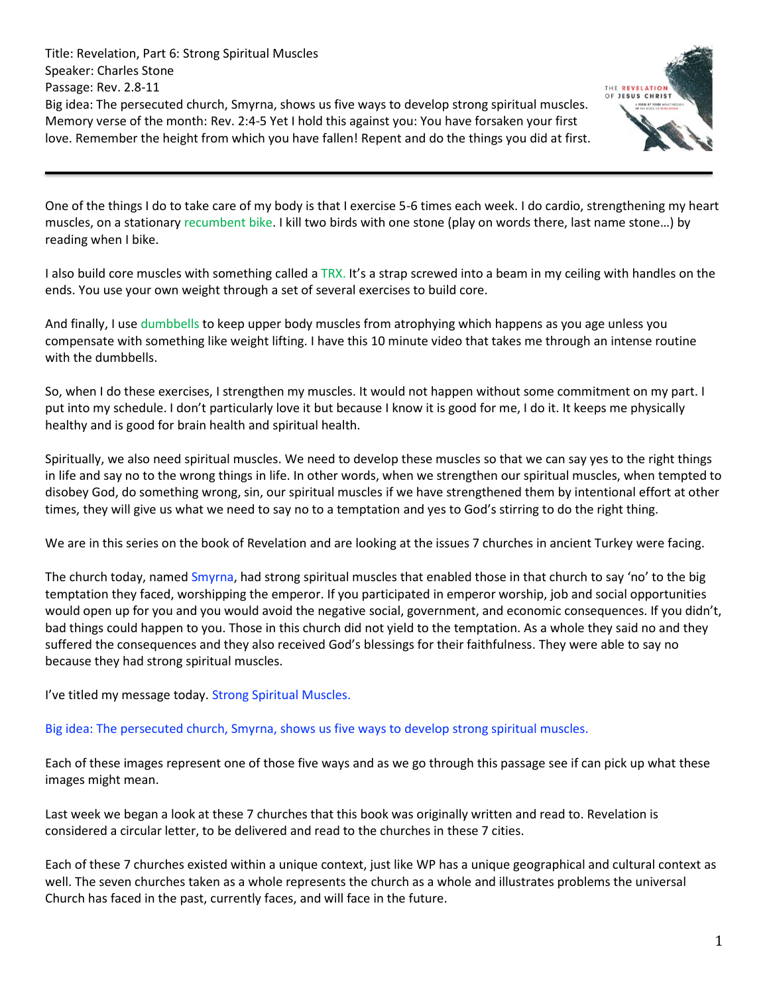Title: Revelation, Part 6: Strong Spiritual Muscles Speaker: Charles Stone Passage: Rev. 2.8-11 Big idea: The persecuted church, Smyrna, shows us five ways to develop strong spiritual muscles. Memory verse of the month: Rev. 2:4-5 Yet I hold this against you: You have forsaken your first love. Remember the height from which you have fallen! Repent and do the things you did at first.



One of the things I do to take care of my body is that I exercise 5-6 times each week. I do cardio, strengthening my heart muscles, on a stationary recumbent bike. I kill two birds with one stone (play on words there, last name stone…) by reading when I bike.

I also build core muscles with something called a TRX. It's a strap screwed into a beam in my ceiling with handles on the ends. You use your own weight through a set of several exercises to build core.

And finally, I use dumbbells to keep upper body muscles from atrophying which happens as you age unless you compensate with something like weight lifting. I have this 10 minute video that takes me through an intense routine with the dumbbells.

So, when I do these exercises, I strengthen my muscles. It would not happen without some commitment on my part. I put into my schedule. I don't particularly love it but because I know it is good for me, I do it. It keeps me physically healthy and is good for brain health and spiritual health.

Spiritually, we also need spiritual muscles. We need to develop these muscles so that we can say yes to the right things in life and say no to the wrong things in life. In other words, when we strengthen our spiritual muscles, when tempted to disobey God, do something wrong, sin, our spiritual muscles if we have strengthened them by intentional effort at other times, they will give us what we need to say no to a temptation and yes to God's stirring to do the right thing.

We are in this series on the book of Revelation and are looking at the issues 7 churches in ancient Turkey were facing.

The church today, named Smyrna, had strong spiritual muscles that enabled those in that church to say 'no' to the big temptation they faced, worshipping the emperor. If you participated in emperor worship, job and social opportunities would open up for you and you would avoid the negative social, government, and economic consequences. If you didn't, bad things could happen to you. Those in this church did not yield to the temptation. As a whole they said no and they suffered the consequences and they also received God's blessings for their faithfulness. They were able to say no because they had strong spiritual muscles.

I've titled my message today. Strong Spiritual Muscles.

Big idea: The persecuted church, Smyrna, shows us five ways to develop strong spiritual muscles.

Each of these images represent one of those five ways and as we go through this passage see if can pick up what these images might mean.

Last week we began a look at these 7 churches that this book was originally written and read to. Revelation is considered a circular letter, to be delivered and read to the churches in these 7 cities.

Each of these 7 churches existed within a unique context, just like WP has a unique geographical and cultural context as well. The seven churches taken as a whole represents the church as a whole and illustrates problems the universal Church has faced in the past, currently faces, and will face in the future.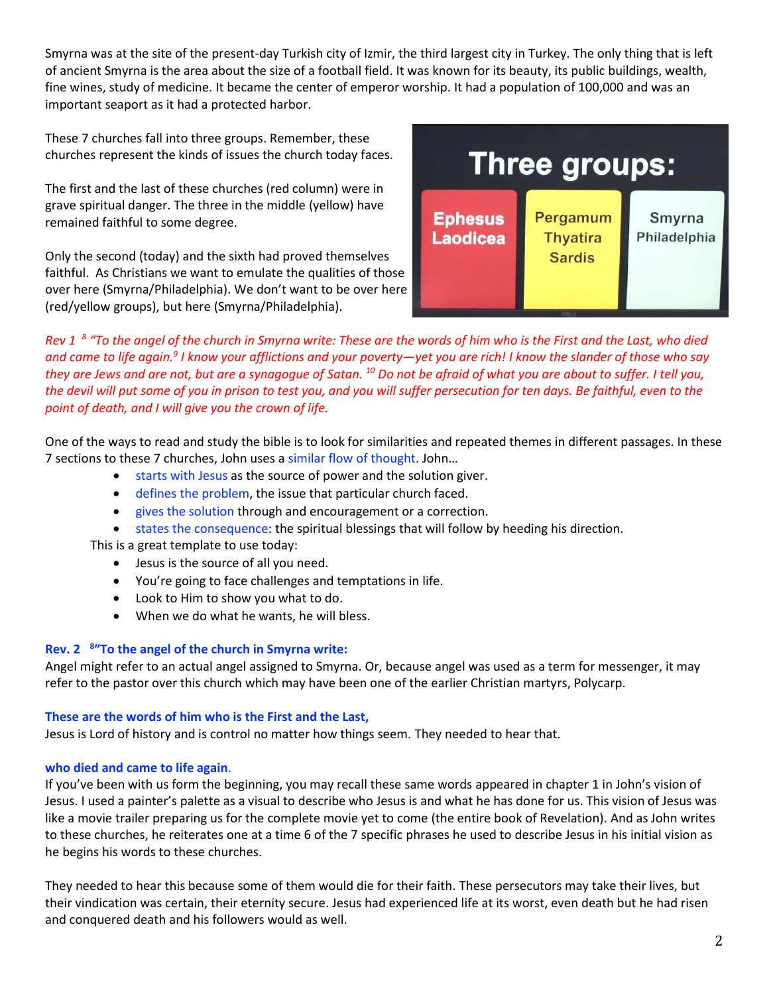Smyrna was at the site of the present-day Turkish city of Izmir, the third largest city in Turkey. The only thing that is left of ancient Smyrna is the area about the size of a football field. It was known for its beauty, its public buildings, wealth, fine wines, study of medicine. It became the center of emperor worship. It had a population of 100,000 and was an important seaport as it had a protected harbor.

These 7 churches fall into three groups. Remember, these churches represent the kinds of issues the church today faces.

The first and the last of these churches (red column) were in grave spiritual danger. The three in the middle (yellow) have remained faithful to some degree.

Only the second (today) and the sixth had proved themselves faithful. As Christians we want to emulate the qualities of those over here (Smyrna/Philadelphia). We don't want to be over here (red/yellow groups), but here (Smyrna/Philadelphia).



*Rev 1 8 "To the angel of the church in Smyrna write: These are the words of him who is the First and the Last, who died and came to life again.<sup>9</sup> I know your afflictions and your poverty—yet you are rich! I know the slander of those who say they are Jews and are not, but are a synagogue of Satan. <sup>10</sup> Do not be afraid of what you are about to suffer. I tell you, the devil will put some of you in prison to test you, and you will suffer persecution for ten days. Be faithful, even to the point of death, and I will give you the crown of life.*

One of the ways to read and study the bible is to look for similarities and repeated themes in different passages. In these 7 sections to these 7 churches, John uses a similar flow of thought. John…

- starts with Jesus as the source of power and the solution giver.
- defines the problem, the issue that particular church faced.
- gives the solution through and encouragement or a correction.
- states the consequence: the spiritual blessings that will follow by heeding his direction.

This is a great template to use today:

- Jesus is the source of all you need.
- You're going to face challenges and temptations in life.
- Look to Him to show you what to do.
- When we do what he wants, he will bless.

# **Rev. 2 8 "To the angel of the church in Smyrna write:**

Angel might refer to an actual angel assigned to Smyrna. Or, because angel was used as a term for messenger, it may refer to the pastor over this church which may have been one of the earlier Christian martyrs, Polycarp.

### **These are the words of him who is the First and the Last,**

Jesus is Lord of history and is control no matter how things seem. They needed to hear that.

# **who died and came to life again**.

If you've been with us form the beginning, you may recall these same words appeared in chapter 1 in John's vision of Jesus. I used a painter's palette as a visual to describe who Jesus is and what he has done for us. This vision of Jesus was like a movie trailer preparing us for the complete movie yet to come (the entire book of Revelation). And as John writes to these churches, he reiterates one at a time 6 of the 7 specific phrases he used to describe Jesus in his initial vision as he begins his words to these churches.

They needed to hear this because some of them would die for their faith. These persecutors may take their lives, but their vindication was certain, their eternity secure. Jesus had experienced life at its worst, even death but he had risen and conquered death and his followers would as well.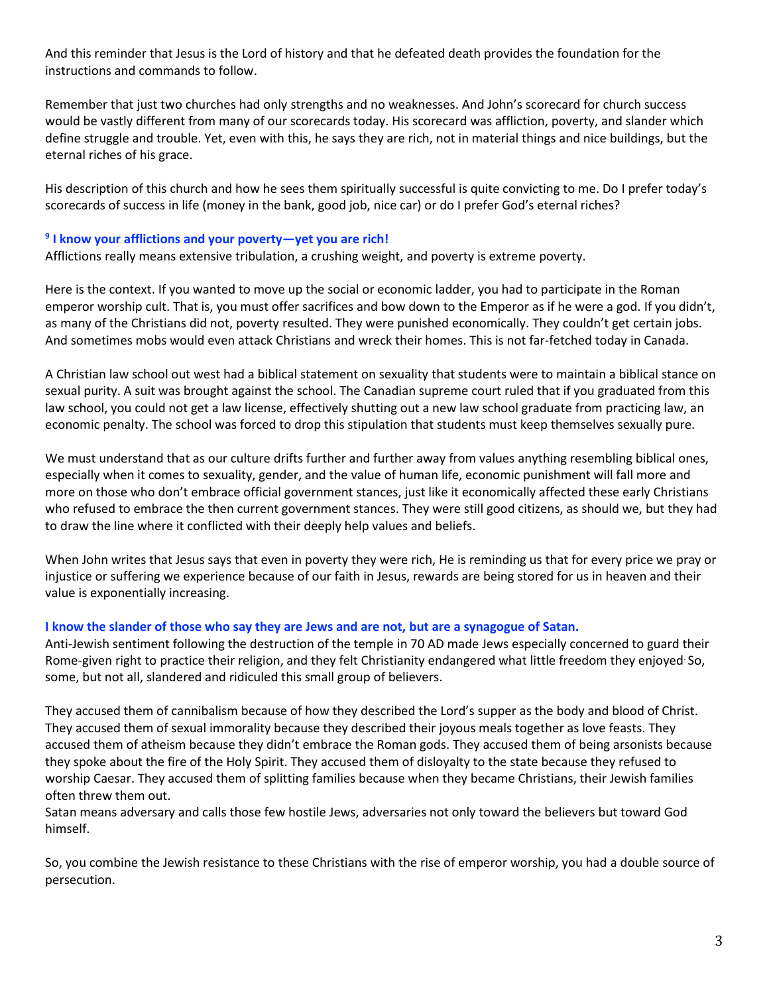And this reminder that Jesus is the Lord of history and that he defeated death provides the foundation for the instructions and commands to follow.

Remember that just two churches had only strengths and no weaknesses. And John's scorecard for church success would be vastly different from many of our scorecards today. His scorecard was affliction, poverty, and slander which define struggle and trouble. Yet, even with this, he says they are rich, not in material things and nice buildings, but the eternal riches of his grace.

His description of this church and how he sees them spiritually successful is quite convicting to me. Do I prefer today's scorecards of success in life (money in the bank, good job, nice car) or do I prefer God's eternal riches?

### **9 I know your afflictions and your poverty—yet you are rich!**

Afflictions really means extensive tribulation, a crushing weight, and poverty is extreme poverty.

Here is the context. If you wanted to move up the social or economic ladder, you had to participate in the Roman emperor worship cult. That is, you must offer sacrifices and bow down to the Emperor as if he were a god. If you didn't, as many of the Christians did not, poverty resulted. They were punished economically. They couldn't get certain jobs. And sometimes mobs would even attack Christians and wreck their homes. This is not far-fetched today in Canada.

A Christian law school out west had a biblical statement on sexuality that students were to maintain a biblical stance on sexual purity. A suit was brought against the school. The Canadian supreme court ruled that if you graduated from this law school, you could not get a law license, effectively shutting out a new law school graduate from practicing law, an economic penalty. The school was forced to drop this stipulation that students must keep themselves sexually pure.

We must understand that as our culture drifts further and further away from values anything resembling biblical ones, especially when it comes to sexuality, gender, and the value of human life, economic punishment will fall more and more on those who don't embrace official government stances, just like it economically affected these early Christians who refused to embrace the then current government stances. They were still good citizens, as should we, but they had to draw the line where it conflicted with their deeply help values and beliefs.

When John writes that Jesus says that even in poverty they were rich, He is reminding us that for every price we pray or injustice or suffering we experience because of our faith in Jesus, rewards are being stored for us in heaven and their value is exponentially increasing.

#### **I know the slander of those who say they are Jews and are not, but are a synagogue of Satan.**

Anti-Jewish sentiment following the destruction of the temple in 70 AD made Jews especially concerned to guard their Rome-given right to practice their religion, and they felt Christianity endangered what little freedom they enjoyed. So, some, but not all, slandered and ridiculed this small group of believers.

They accused them of cannibalism because of how they described the Lord's supper as the body and blood of Christ. They accused them of sexual immorality because they described their joyous meals together as love feasts. They accused them of atheism because they didn't embrace the Roman gods. They accused them of being arsonists because they spoke about the fire of the Holy Spirit. They accused them of disloyalty to the state because they refused to worship Caesar. They accused them of splitting families because when they became Christians, their Jewish families often threw them out.

Satan means adversary and calls those few hostile Jews, adversaries not only toward the believers but toward God himself.

So, you combine the Jewish resistance to these Christians with the rise of emperor worship, you had a double source of persecution.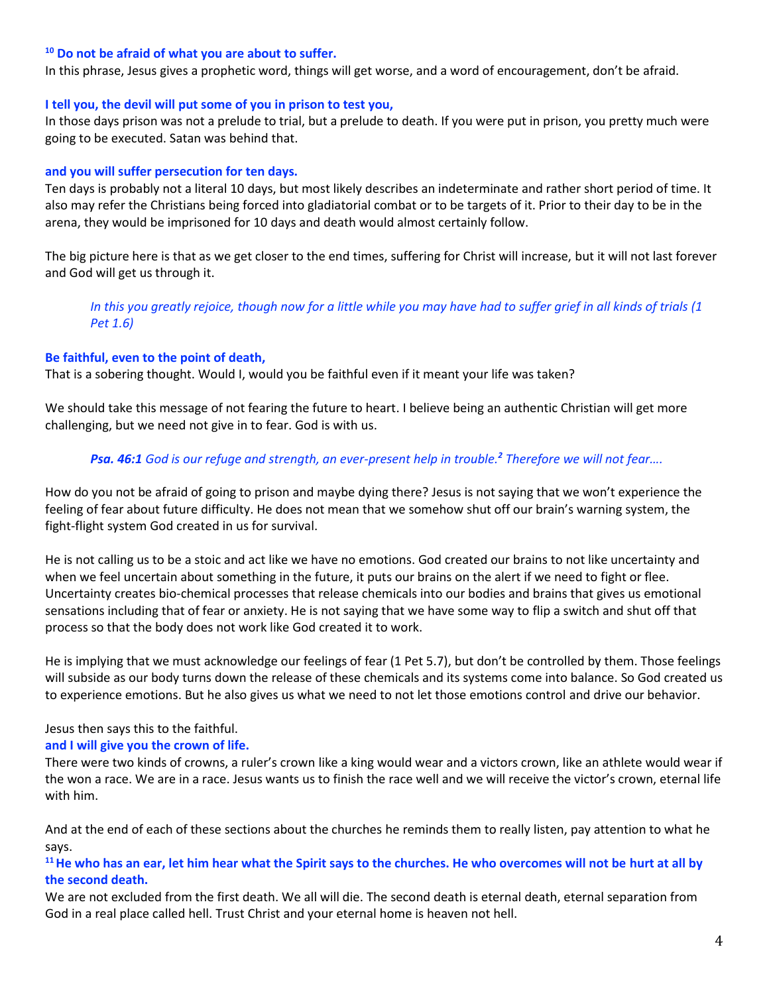#### **<sup>10</sup> Do not be afraid of what you are about to suffer.**

In this phrase, Jesus gives a prophetic word, things will get worse, and a word of encouragement, don't be afraid.

#### **I tell you, the devil will put some of you in prison to test you,**

In those days prison was not a prelude to trial, but a prelude to death. If you were put in prison, you pretty much were going to be executed. Satan was behind that.

#### **and you will suffer persecution for ten days.**

Ten days is probably not a literal 10 days, but most likely describes an indeterminate and rather short period of time. It also may refer the Christians being forced into gladiatorial combat or to be targets of it. Prior to their day to be in the arena, they would be imprisoned for 10 days and death would almost certainly follow.

The big picture here is that as we get closer to the end times, suffering for Christ will increase, but it will not last forever and God will get us through it.

## *In this you greatly rejoice, though now for a little while you may have had to suffer grief in all kinds of trials (1 Pet 1.6)*

#### **Be faithful, even to the point of death,**

That is a sobering thought. Would I, would you be faithful even if it meant your life was taken?

We should take this message of not fearing the future to heart. I believe being an authentic Christian will get more challenging, but we need not give in to fear. God is with us.

### *Psa. 46:1 God is our refuge and strength, an ever-present help in trouble.<sup>2</sup> Therefore we will not fear….*

How do you not be afraid of going to prison and maybe dying there? Jesus is not saying that we won't experience the feeling of fear about future difficulty. He does not mean that we somehow shut off our brain's warning system, the fight-flight system God created in us for survival.

He is not calling us to be a stoic and act like we have no emotions. God created our brains to not like uncertainty and when we feel uncertain about something in the future, it puts our brains on the alert if we need to fight or flee. Uncertainty creates bio-chemical processes that release chemicals into our bodies and brains that gives us emotional sensations including that of fear or anxiety. He is not saying that we have some way to flip a switch and shut off that process so that the body does not work like God created it to work.

He is implying that we must acknowledge our feelings of fear (1 Pet 5.7), but don't be controlled by them. Those feelings will subside as our body turns down the release of these chemicals and its systems come into balance. So God created us to experience emotions. But he also gives us what we need to not let those emotions control and drive our behavior.

### Jesus then says this to the faithful.

### **and I will give you the crown of life.**

There were two kinds of crowns, a ruler's crown like a king would wear and a victors crown, like an athlete would wear if the won a race. We are in a race. Jesus wants us to finish the race well and we will receive the victor's crown, eternal life with him.

And at the end of each of these sections about the churches he reminds them to really listen, pay attention to what he says.

## **<sup>11</sup>He who has an ear, let him hear what the Spirit says to the churches. He who overcomes will not be hurt at all by the second death.**

We are not excluded from the first death. We all will die. The second death is eternal death, eternal separation from God in a real place called hell. Trust Christ and your eternal home is heaven not hell.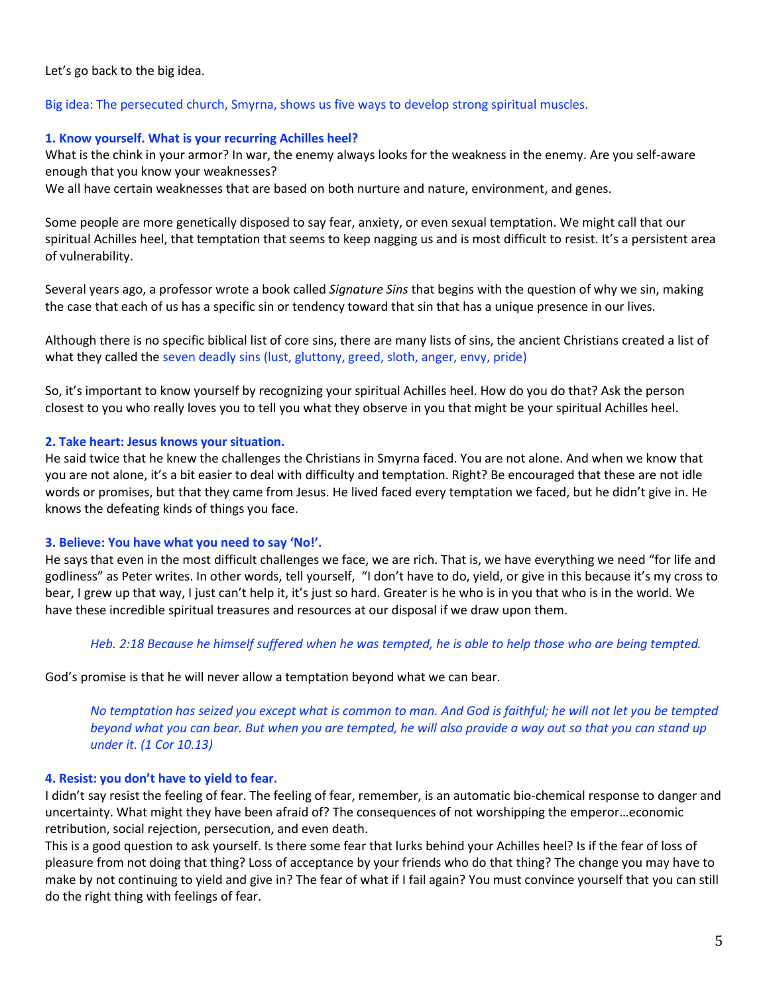Let's go back to the big idea.

### Big idea: The persecuted church, Smyrna, shows us five ways to develop strong spiritual muscles.

### **1. Know yourself. What is your recurring Achilles heel?**

What is the chink in your armor? In war, the enemy always looks for the weakness in the enemy. Are you self-aware enough that you know your weaknesses?

We all have certain weaknesses that are based on both nurture and nature, environment, and genes.

Some people are more genetically disposed to say fear, anxiety, or even sexual temptation. We might call that our spiritual Achilles heel, that temptation that seems to keep nagging us and is most difficult to resist. It's a persistent area of vulnerability.

Several years ago, a professor wrote a book called *Signature Sins* that begins with the question of why we sin, making the case that each of us has a specific sin or tendency toward that sin that has a unique presence in our lives.

Although there is no specific biblical list of core sins, there are many lists of sins, the ancient Christians created a list of what they called the seven deadly sins (lust, gluttony, greed, sloth, anger, envy, pride)

So, it's important to know yourself by recognizing your spiritual Achilles heel. How do you do that? Ask the person closest to you who really loves you to tell you what they observe in you that might be your spiritual Achilles heel.

### **2. Take heart: Jesus knows your situation.**

He said twice that he knew the challenges the Christians in Smyrna faced. You are not alone. And when we know that you are not alone, it's a bit easier to deal with difficulty and temptation. Right? Be encouraged that these are not idle words or promises, but that they came from Jesus. He lived faced every temptation we faced, but he didn't give in. He knows the defeating kinds of things you face.

### **3. Believe: You have what you need to say 'No!'.**

He says that even in the most difficult challenges we face, we are rich. That is, we have everything we need "for life and godliness" as Peter writes. In other words, tell yourself, "I don't have to do, yield, or give in this because it's my cross to bear, I grew up that way, I just can't help it, it's just so hard. Greater is he who is in you that who is in the world. We have these incredible spiritual treasures and resources at our disposal if we draw upon them.

### *Heb. 2:18 Because he himself suffered when he was tempted, he is able to help those who are being tempted.*

God's promise is that he will never allow a temptation beyond what we can bear.

*No temptation has seized you except what is common to man. And God is faithful; he will not let you be tempted beyond what you can bear. But when you are tempted, he will also provide a way out so that you can stand up under it. (1 Cor 10.13)*

### **4. Resist: you don't have to yield to fear.**

I didn't say resist the feeling of fear. The feeling of fear, remember, is an automatic bio-chemical response to danger and uncertainty. What might they have been afraid of? The consequences of not worshipping the emperor…economic retribution, social rejection, persecution, and even death.

This is a good question to ask yourself. Is there some fear that lurks behind your Achilles heel? Is if the fear of loss of pleasure from not doing that thing? Loss of acceptance by your friends who do that thing? The change you may have to make by not continuing to yield and give in? The fear of what if I fail again? You must convince yourself that you can still do the right thing with feelings of fear.